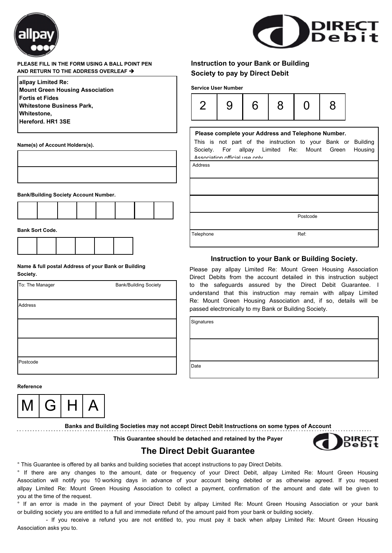



### **PLEASE FILL IN THE FORM USING A BALL POINT PEN AND RETURN TO THE ADDRESS OVERLEAF** è

| allpay Limited Re:                     |
|----------------------------------------|
| <b>Mount Green Housing Association</b> |
| <b>Fortis et Fides</b>                 |
| <b>Whitestone Business Park,</b>       |
| <b>Whitestone,</b>                     |
| Hereford. HR1 3SE                      |
|                                        |

**Name(s) of Account Holders(s).**

| <b>Bank/Building Society Account Number.</b> |  |  |
|----------------------------------------------|--|--|



| <b>Bank Sort Code.</b> |  |
|------------------------|--|
|------------------------|--|

Г

#### **Name & full postal Address of your Bank or Building Society.**

| To: The Manager | <b>Bank/Building Society</b> |
|-----------------|------------------------------|
| Address         |                              |
|                 |                              |
|                 |                              |
| Postcode        |                              |

## **Instruction to your Bank or Building Society to pay by Direct Debit**

**Service User Number**



# Address Postcode Telephone Ref: This is not part of the instruction to your Bank or Building Society. For allpay Limited Re: Mount Green Housing Association official use only. **Please complete your Address and Telephone Number.**

### **Instruction to your Bank or Building Society.**

Please pay allpay Limited Re: Mount Green Housing Association Direct Debits from the account detailed in this instruction subject to the safeguards assured by the Direct Debit Guarantee. I understand that this instruction may remain with allpay Limited Re: Mount Green Housing Association and, if so, details will be passed electronically to my Bank or Building Society.

**Signatures** 

Date

**Reference**



**Banks and Building Societies may not accept Direct Debit Instructions on some types of Account**

**This Guarantee should be detached and retained by the Payer**



### **The Direct Debit Guarantee**

° This Guarantee is offered by all banks and building societies that accept instructions to pay Direct Debits.

° If there are any changes to the amount, date or frequency of your Direct Debit, allpay Limited Re: Mount Green Housing Association will notify you 10 working days in advance of your account being debited or as otherwise agreed. If you request allpay Limited Re: Mount Green Housing Association to collect a payment, confirmation of the amount and date will be given to you at the time of the request.

° If an error is made in the payment of your Direct Debit by allpay Limited Re: Mount Green Housing Association or your bank or building society you are entitled to a full and immediate refund of the amount paid from your bank or building society.

 - If you receive a refund you are not entitled to, you must pay it back when allpay Limited Re: Mount Green Housing Association asks you to.